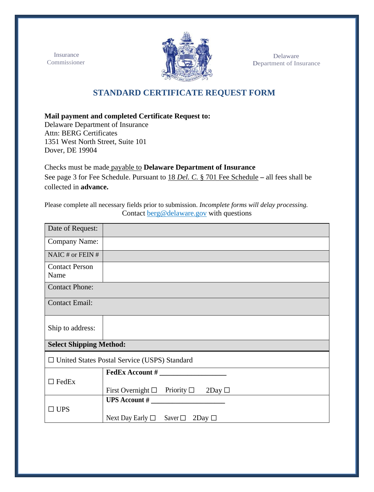Insurance Commissioner



 Delaware Department of Insurance

## **STANDARD CERTIFICATE REQUEST FORM**

**Mail payment and completed Certificate Request to:**

Delaware Department of Insurance Attn: BERG Certificates 1351 West North Street, Suite 101 Dover, DE 19904

Checks must be made payable to **Delaware Department of Insurance** See page 3 for [Fee Schedule.](https://delcode.delaware.gov/title18/c007/index.shtml) Pursuant to 18 *[Del. C.](http://delcode.delaware.gov/title18/c007/index.shtml)* § 701 Fee Schedule **–** all fees shall be collected in **advance.**

Please complete all necessary fields prior to submission. *Incomplete forms will delay processing.* Contact [berg@delaware.gov](mailto:berg@delaware.gov) with questions

| Date of Request:                                    |                                                          |  |  |  |  |
|-----------------------------------------------------|----------------------------------------------------------|--|--|--|--|
| <b>Company Name:</b>                                |                                                          |  |  |  |  |
| NAIC # or FEIN $#$                                  |                                                          |  |  |  |  |
| <b>Contact Person</b><br>Name                       |                                                          |  |  |  |  |
| <b>Contact Phone:</b>                               |                                                          |  |  |  |  |
| <b>Contact Email:</b>                               |                                                          |  |  |  |  |
| Ship to address:                                    |                                                          |  |  |  |  |
| <b>Select Shipping Method:</b>                      |                                                          |  |  |  |  |
| $\Box$ United States Postal Service (USPS) Standard |                                                          |  |  |  |  |
|                                                     | $\textbf{FedEx}\,\textbf{Account}\,\text{\#}$            |  |  |  |  |
| $\Box$ FedEx                                        |                                                          |  |  |  |  |
|                                                     | First Overnight $\Box$ Priority $\Box$<br>$2$ Day $\Box$ |  |  |  |  |
|                                                     |                                                          |  |  |  |  |
| $\square$ UPS                                       |                                                          |  |  |  |  |
|                                                     | Next Day Early $\Box$ Saver $\Box$<br>$2$ Day $\Box$     |  |  |  |  |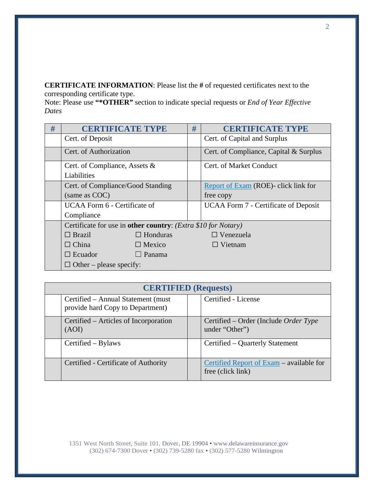**CERTIFICATE INFORMATION**: Please list the **#** of requested certificates next to the corresponding certificate type.

Note: Please use **"\*OTHER"** section to indicate special requests or *End of Year Effective Dates*

| # | <b>CERTIFICATE TYPE</b>                                       |                 | # | <b>CERTIFICATE TYPE</b>                     |  |
|---|---------------------------------------------------------------|-----------------|---|---------------------------------------------|--|
|   | Cert. of Deposit                                              |                 |   | Cert. of Capital and Surplus                |  |
|   | Cert. of Authorization                                        |                 |   | Cert. of Compliance, Capital & Surplus      |  |
|   | Cert. of Compliance, Assets &                                 |                 |   | Cert. of Market Conduct                     |  |
|   | Liabilities                                                   |                 |   |                                             |  |
|   | Cert. of Compliance/Good Standing                             |                 |   | Report of Exam (ROE)- click link for        |  |
|   | (same as COC)                                                 |                 |   | free copy                                   |  |
|   | UCAA Form 6 - Certificate of                                  |                 |   | <b>UCAA Form 7 - Certificate of Deposit</b> |  |
|   | Compliance                                                    |                 |   |                                             |  |
|   | Certificate for use in other country: (Extra \$10 for Notary) |                 |   |                                             |  |
|   | $\Box$ Brazil                                                 | $\Box$ Honduras |   | $\Box$ Venezuela                            |  |
|   | $\Box$ China                                                  | $\Box$ Mexico   |   | $\Box$ Vietnam                              |  |
|   | $\Box$ Ecuador                                                | $\Box$ Panama   |   |                                             |  |
|   | $\Box$ Other – please specify:                                |                 |   |                                             |  |

| <b>CERTIFIED</b> (Requests) |                                                                        |  |                                                               |  |  |
|-----------------------------|------------------------------------------------------------------------|--|---------------------------------------------------------------|--|--|
|                             | Certified - Annual Statement (must<br>provide hard Copy to Department) |  | Certified - License                                           |  |  |
|                             | Certified – Articles of Incorporation<br>(AOI)                         |  | Certified – Order (Include Order Type<br>under "Other")       |  |  |
|                             | Certified – Bylaws                                                     |  | Certified – Quarterly Statement                               |  |  |
|                             | Certified - Certificate of Authority                                   |  | Certified Report of Exam – available for<br>free (click link) |  |  |